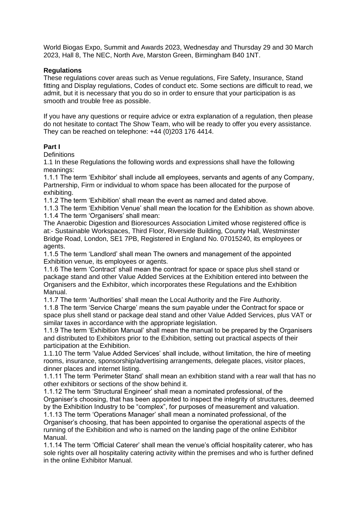World Biogas Expo, Summit and Awards 2023, Wednesday and Thursday 29 and 30 March 2023, Hall 8, The NEC, North Ave, Marston Green, Birmingham B40 1NT.

#### **Regulations**

These regulations cover areas such as Venue regulations, Fire Safety, Insurance, Stand fitting and Display regulations, Codes of conduct etc. Some sections are difficult to read, we admit, but it is necessary that you do so in order to ensure that your participation is as smooth and trouble free as possible.

If you have any questions or require advice or extra explanation of a regulation, then please do not hesitate to contact The Show Team, who will be ready to offer you every assistance. They can be reached on telephone: +44 (0)203 176 4414.

### **Part I**

**Definitions** 

1.1 In these Regulations the following words and expressions shall have the following meanings:

1.1.1 The term 'Exhibitor' shall include all employees, servants and agents of any Company, Partnership, Firm or individual to whom space has been allocated for the purpose of exhibiting.

1.1.2 The term 'Exhibition' shall mean the event as named and dated above.

1.1.3 The term 'Exhibition Venue' shall mean the location for the Exhibition as shown above. 1.1.4 The term 'Organisers' shall mean:

The Anaerobic Digestion and Bioresources Association Limited whose registered office is at:- Sustainable Workspaces, Third Floor, Riverside Building, County Hall, Westminster Bridge Road, London, SE1 7PB, Registered in England No. 07015240, its employees or agents.

1.1.5 The term 'Landlord' shall mean The owners and management of the appointed Exhibition venue, its employees or agents.

1.1.6 The term 'Contract' shall mean the contract for space or space plus shell stand or package stand and other Value Added Services at the Exhibition entered into between the Organisers and the Exhibitor, which incorporates these Regulations and the Exhibition Manual.

1.1.7 The term 'Authorities' shall mean the Local Authority and the Fire Authority.

1.1.8 The term 'Service Charge' means the sum payable under the Contract for space or space plus shell stand or package deal stand and other Value Added Services, plus VAT or similar taxes in accordance with the appropriate legislation.

1.1.9 The term 'Exhibition Manual' shall mean the manual to be prepared by the Organisers and distributed to Exhibitors prior to the Exhibition, setting out practical aspects of their participation at the Exhibition.

1.1.10 The term 'Value Added Services' shall include, without limitation, the hire of meeting rooms, insurance, sponsorship/advertising arrangements, delegate places, visitor places, dinner places and internet listing.

1.1.11 The term 'Perimeter Stand' shall mean an exhibition stand with a rear wall that has no other exhibitors or sections of the show behind it.

1.1.12 The term 'Structural Engineer' shall mean a nominated professional, of the Organiser's choosing, that has been appointed to inspect the integrity of structures, deemed by the Exhibition Industry to be "complex", for purposes of measurement and valuation.

1.1.13 The term 'Operations Manager' shall mean a nominated professional, of the Organiser's choosing, that has been appointed to organise the operational aspects of the running of the Exhibition and who is named on the landing page of the online Exhibitor Manual.

1.1.14 The term 'Official Caterer' shall mean the venue's official hospitality caterer, who has sole rights over all hospitality catering activity within the premises and who is further defined in the online Exhibitor Manual.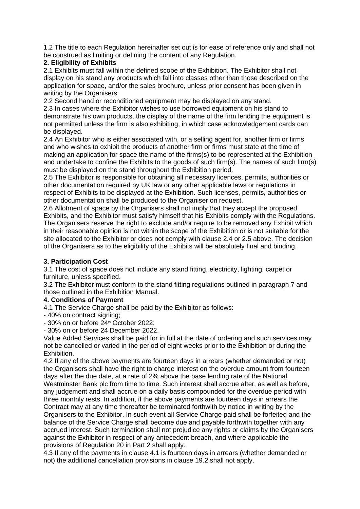1.2 The title to each Regulation hereinafter set out is for ease of reference only and shall not be construed as limiting or defining the content of any Regulation.

## **2. Eligibility of Exhibits**

2.1 Exhibits must fall within the defined scope of the Exhibition. The Exhibitor shall not display on his stand any products which fall into classes other than those described on the application for space, and/or the sales brochure, unless prior consent has been given in writing by the Organisers.

2.2 Second hand or reconditioned equipment may be displayed on any stand.

2.3 In cases where the Exhibitor wishes to use borrowed equipment on his stand to demonstrate his own products, the display of the name of the firm lending the equipment is not permitted unless the firm is also exhibiting, in which case acknowledgement cards can be displayed.

2.4 An Exhibitor who is either associated with, or a selling agent for, another firm or firms and who wishes to exhibit the products of another firm or firms must state at the time of making an application for space the name of the firms(s) to be represented at the Exhibition and undertake to confine the Exhibits to the goods of such firm(s). The names of such firm(s) must be displayed on the stand throughout the Exhibition period.

2.5 The Exhibitor is responsible for obtaining all necessary licences, permits, authorities or other documentation required by UK law or any other applicable laws or regulations in respect of Exhibits to be displayed at the Exhibition. Such licenses, permits, authorities or other documentation shall be produced to the Organiser on request.

2.6 Allotment of space by the Organisers shall not imply that they accept the proposed Exhibits, and the Exhibitor must satisfy himself that his Exhibits comply with the Regulations. The Organisers reserve the right to exclude and/or require to be removed any Exhibit which in their reasonable opinion is not within the scope of the Exhibition or is not suitable for the site allocated to the Exhibitor or does not comply with clause 2.4 or 2.5 above. The decision of the Organisers as to the eligibility of the Exhibits will be absolutely final and binding.

# **3. Participation Cost**

3.1 The cost of space does not include any stand fitting, electricity, lighting, carpet or furniture, unless specified.

3.2 The Exhibitor must conform to the stand fitting regulations outlined in paragraph 7 and those outlined in the Exhibition Manual.

### **4. Conditions of Payment**

4.1 The Service Charge shall be paid by the Exhibitor as follows:

- 40% on contract signing;

 $-30\%$  on or before  $24<sup>th</sup>$  October 2022:

- 30% on or before 24 December 2022.

Value Added Services shall be paid for in full at the date of ordering and such services may not be cancelled or varied in the period of eight weeks prior to the Exhibition or during the Exhibition.

4.2 If any of the above payments are fourteen days in arrears (whether demanded or not) the Organisers shall have the right to charge interest on the overdue amount from fourteen days after the due date, at a rate of 2% above the base lending rate of the National Westminster Bank plc from time to time. Such interest shall accrue after, as well as before, any judgement and shall accrue on a daily basis compounded for the overdue period with three monthly rests. In addition, if the above payments are fourteen days in arrears the Contract may at any time thereafter be terminated forthwith by notice in writing by the Organisers to the Exhibitor. In such event all Service Charge paid shall be forfeited and the balance of the Service Charge shall become due and payable forthwith together with any accrued interest. Such termination shall not prejudice any rights or claims by the Organisers against the Exhibitor in respect of any antecedent breach, and where applicable the provisions of Regulation 20 in Part 2 shall apply.

4.3 If any of the payments in clause 4.1 is fourteen days in arrears (whether demanded or not) the additional cancellation provisions in clause 19.2 shall not apply.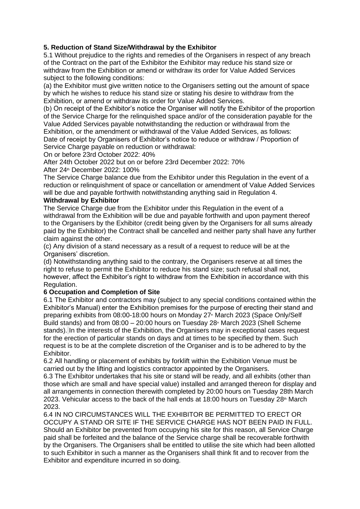## **5. Reduction of Stand Size/Withdrawal by the Exhibitor**

5.1 Without prejudice to the rights and remedies of the Organisers in respect of any breach of the Contract on the part of the Exhibitor the Exhibitor may reduce his stand size or withdraw from the Exhibition or amend or withdraw its order for Value Added Services subject to the following conditions:

(a) the Exhibitor must give written notice to the Organisers setting out the amount of space by which he wishes to reduce his stand size or stating his desire to withdraw from the Exhibition, or amend or withdraw its order for Value Added Services.

(b) On receipt of the Exhibitor's notice the Organiser will notify the Exhibitor of the proportion of the Service Charge for the relinquished space and/or of the consideration payable for the Value Added Services payable notwithstanding the reduction or withdrawal from the Exhibition, or the amendment or withdrawal of the Value Added Services, as follows: Date of receipt by Organisers of Exhibitor's notice to reduce or withdraw / Proportion of Service Charge payable on reduction or withdrawal:

On or before 23rd October 2022: 40%

After 24th October 2022 but on or before 23rd December 2022: 70%

After 24<sup>th</sup> December 2022: 100%

The Service Charge balance due from the Exhibitor under this Regulation in the event of a reduction or relinquishment of space or cancellation or amendment of Value Added Services will be due and payable forthwith notwithstanding anything said in Regulation 4.

### **Withdrawal by Exhibitor**

The Service Charge due from the Exhibitor under this Regulation in the event of a withdrawal from the Exhibition will be due and payable forthwith and upon payment thereof to the Organisers by the Exhibitor (credit being given by the Organisers for all sums already paid by the Exhibitor) the Contract shall be cancelled and neither party shall have any further claim against the other.

(c) Any division of a stand necessary as a result of a request to reduce will be at the Organisers' discretion.

(d) Notwithstanding anything said to the contrary, the Organisers reserve at all times the right to refuse to permit the Exhibitor to reduce his stand size; such refusal shall not, however, affect the Exhibitor's right to withdraw from the Exhibition in accordance with this Regulation.

### **6 Occupation and Completion of Site**

6.1 The Exhibitor and contractors may (subject to any special conditions contained within the Exhibitor's Manual) enter the Exhibition premises for the purpose of erecting their stand and preparing exhibits from 08:00-18:00 hours on Monday 27<sup>th</sup> March 2023 (Space Only/Self Build stands) and from  $08:00 - 20:00$  hours on Tuesday  $28<sup>*</sup>$  March 2023 (Shell Scheme stands). In the interests of the Exhibition, the Organisers may in exceptional cases request for the erection of particular stands on days and at times to be specified by them. Such request is to be at the complete discretion of the Organiser and is to be adhered to by the Exhibitor.

6.2 All handling or placement of exhibits by forklift within the Exhibition Venue must be carried out by the lifting and logistics contractor appointed by the Organisers.

6.3 The Exhibitor undertakes that his site or stand will be ready, and all exhibits (other than those which are small and have special value) installed and arranged thereon for display and all arrangements in connection therewith completed by 20:00 hours on Tuesday 28th March 2023. Vehicular access to the back of the hall ends at 18:00 hours on Tuesday 28<sup>th</sup> March 2023.

6.4 IN NO CIRCUMSTANCES WILL THE EXHIBITOR BE PERMITTED TO ERECT OR OCCUPY A STAND OR SITE IF THE SERVICE CHARGE HAS NOT BEEN PAID IN FULL. Should an Exhibitor be prevented from occupying his site for this reason, all Service Charge paid shall be forfeited and the balance of the Service charge shall be recoverable forthwith by the Organisers. The Organisers shall be entitled to utilise the site which had been allotted to such Exhibitor in such a manner as the Organisers shall think fit and to recover from the Exhibitor and expenditure incurred in so doing.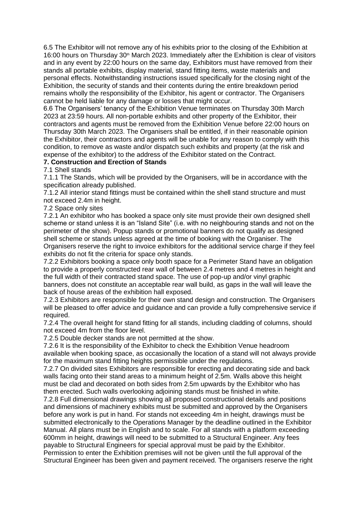6.5 The Exhibitor will not remove any of his exhibits prior to the closing of the Exhibition at 16:00 hours on Thursday  $30<sup>th</sup>$  March 2023. Immediately after the Exhibition is clear of visitors and in any event by 22:00 hours on the same day, Exhibitors must have removed from their stands all portable exhibits, display material, stand fitting items, waste materials and personal effects. Notwithstanding instructions issued specifically for the closing night of the Exhibition, the security of stands and their contents during the entire breakdown period remains wholly the responsibility of the Exhibitor, his agent or contractor. The Organisers cannot be held liable for any damage or losses that might occur.

6.6 The Organisers' tenancy of the Exhibition Venue terminates on Thursday 30th March 2023 at 23:59 hours. All non-portable exhibits and other property of the Exhibitor, their contractors and agents must be removed from the Exhibition Venue before 22:00 hours on Thursday 30th March 2023. The Organisers shall be entitled, if in their reasonable opinion the Exhibitor, their contractors and agents will be unable for any reason to comply with this condition, to remove as waste and/or dispatch such exhibits and property (at the risk and expense of the exhibitor) to the address of the Exhibitor stated on the Contract.

## **7. Construction and Erection of Stands**

7.1 Shell stands

7.1.1 The Stands, which will be provided by the Organisers, will be in accordance with the specification already published.

7.1.2 All interior stand fittings must be contained within the shell stand structure and must not exceed 2.4m in height.

7.2 Space only sites

7.2.1 An exhibitor who has booked a space only site must provide their own designed shell scheme or stand unless it is an "Island Site" (i.e. with no neighbouring stands and not on the perimeter of the show). Popup stands or promotional banners do not qualify as designed shell scheme or stands unless agreed at the time of booking with the Organiser. The Organisers reserve the right to invoice exhibitors for the additional service charge if they feel exhibits do not fit the criteria for space only stands.

7.2.2 Exhibitors booking a space only booth space for a Perimeter Stand have an obligation to provide a properly constructed rear wall of between 2.4 metres and 4 metres in height and the full width of their contracted stand space. The use of pop-up and/or vinyl graphic banners, does not constitute an acceptable rear wall build, as gaps in the wall will leave the back of house areas of the exhibition hall exposed.

7.2.3 Exhibitors are responsible for their own stand design and construction. The Organisers will be pleased to offer advice and guidance and can provide a fully comprehensive service if required.

7.2.4 The overall height for stand fitting for all stands, including cladding of columns, should not exceed 4m from the floor level.

7.2.5 Double decker stands are not permitted at the show.

7.2.6 It is the responsibility of the Exhibitor to check the Exhibition Venue headroom available when booking space, as occasionally the location of a stand will not always provide for the maximum stand fitting heights permissible under the regulations.

7.2.7 On divided sites Exhibitors are responsible for erecting and decorating side and back walls facing onto their stand areas to a minimum height of 2.5m. Walls above this height must be clad and decorated on both sides from 2.5m upwards by the Exhibitor who has them erected. Such walls overlooking adjoining stands must be finished in white.

7.2.8 Full dimensional drawings showing all proposed constructional details and positions and dimensions of machinery exhibits must be submitted and approved by the Organisers before any work is put in hand. For stands not exceeding 4m in height, drawings must be submitted electronically to the Operations Manager by the deadline outlined in the Exhibitor Manual. All plans must be in English and to scale. For all stands with a platform exceeding 600mm in height, drawings will need to be submitted to a Structural Engineer. Any fees payable to Structural Engineers for special approval must be paid by the Exhibitor. Permission to enter the Exhibition premises will not be given until the full approval of the Structural Engineer has been given and payment received. The organisers reserve the right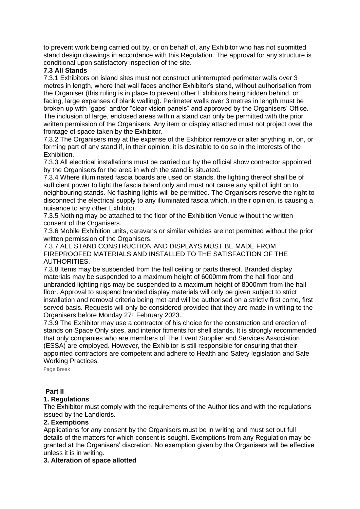to prevent work being carried out by, or on behalf of, any Exhibitor who has not submitted stand design drawings in accordance with this Regulation. The approval for any structure is conditional upon satisfactory inspection of the site.

## **7.3 All Stands**

7.3.1 Exhibitors on island sites must not construct uninterrupted perimeter walls over 3 metres in length, where that wall faces another Exhibitor's stand, without authorisation from the Organiser (this ruling is in place to prevent other Exhibitors being hidden behind, or facing, large expanses of blank walling). Perimeter walls over 3 metres in length must be broken up with "gaps" and/or "clear vision panels" and approved by the Organisers' Office. The inclusion of large, enclosed areas within a stand can only be permitted with the prior written permission of the Organisers. Any item or display attached must not project over the frontage of space taken by the Exhibitor.

7.3.2 The Organisers may at the expense of the Exhibitor remove or alter anything in, on, or forming part of any stand if, in their opinion, it is desirable to do so in the interests of the Exhibition.

7.3.3 All electrical installations must be carried out by the official show contractor appointed by the Organisers for the area in which the stand is situated.

7.3.4 Where illuminated fascia boards are used on stands, the lighting thereof shall be of sufficient power to light the fascia board only and must not cause any spill of light on to neighbouring stands. No flashing lights will be permitted. The Organisers reserve the right to disconnect the electrical supply to any illuminated fascia which, in their opinion, is causing a nuisance to any other Exhibitor.

7.3.5 Nothing may be attached to the floor of the Exhibition Venue without the written consent of the Organisers.

7.3.6 Mobile Exhibition units, caravans or similar vehicles are not permitted without the prior written permission of the Organisers.

7.3.7 ALL STAND CONSTRUCTION AND DISPLAYS MUST BE MADE FROM FIREPROOFED MATERIALS AND INSTALLED TO THE SATISFACTION OF THE AUTHORITIES.

7.3.8 Items may be suspended from the hall ceiling or parts thereof. Branded display materials may be suspended to a maximum height of 6000mm from the hall floor and unbranded lighting rigs may be suspended to a maximum height of 8000mm from the hall floor. Approval to suspend branded display materials will only be given subject to strict installation and removal criteria being met and will be authorised on a strictly first come, first served basis. Requests will only be considered provided that they are made in writing to the Organisers before Monday 27<sup>th</sup> February 2023.

7.3.9 The Exhibitor may use a contractor of his choice for the construction and erection of stands on Space Only sites, and interior fitments for shell stands. It is strongly recommended that only companies who are members of The Event Supplier and Services Association (ESSA) are employed. However, the Exhibitor is still responsible for ensuring that their appointed contractors are competent and adhere to Health and Safety legislation and Safe Working Practices.

Page Break

### **Part II**

### **1. Regulations**

The Exhibitor must comply with the requirements of the Authorities and with the regulations issued by the Landlords.

#### **2. Exemptions**

Applications for any consent by the Organisers must be in writing and must set out full details of the matters for which consent is sought. Exemptions from any Regulation may be granted at the Organisers' discretion. No exemption given by the Organisers will be effective unless it is in writing.

### **3. Alteration of space allotted**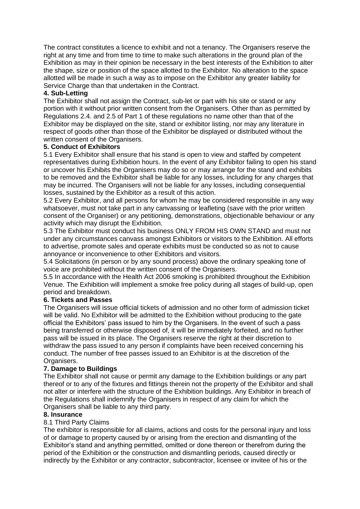The contract constitutes a licence to exhibit and not a tenancy. The Organisers reserve the right at any time and from time to time to make such alterations in the ground plan of the Exhibition as may in their opinion be necessary in the best interests of the Exhibition to alter the shape, size or position of the space allotted to the Exhibitor. No alteration to the space allotted will be made in such a way as to impose on the Exhibitor any greater liability for Service Charge than that undertaken in the Contract.

## **4. Sub-Letting**

The Exhibitor shall not assign the Contract, sub-let or part with his site or stand or any portion with it without prior written consent from the Organisers. Other than as permitted by Regulations 2.4. and 2.5 of Part 1 of these regulations no name other than that of the Exhibitor may be displayed on the site, stand or exhibitor listing, nor may any literature in respect of goods other than those of the Exhibitor be displayed or distributed without the written consent of the Organisers.

## **5. Conduct of Exhibitors**

5.1 Every Exhibitor shall ensure that his stand is open to view and staffed by competent representatives during Exhibition hours. In the event of any Exhibitor failing to open his stand or uncover his Exhibits the Organisers may do so or may arrange for the stand and exhibits to be removed and the Exhibitor shall be liable for any losses, including for any charges that may be incurred. The Organisers will not be liable for any losses, including consequential losses, sustained by the Exhibitor as a result of this action.

5.2 Every Exhibitor, and all persons for whom he may be considered responsible in any way whatsoever, must not take part in any canvassing or leafleting (save with the prior written consent of the Organiser) or any petitioning, demonstrations, objectionable behaviour or any activity which may disrupt the Exhibition.

5.3 The Exhibitor must conduct his business ONLY FROM HIS OWN STAND and must not under any circumstances canvass amongst Exhibitors or visitors to the Exhibition. All efforts to advertise, promote sales and operate exhibits must be conducted so as not to cause annoyance or inconvenience to other Exhibitors and visitors.

5.4 Solicitations (in person or by any sound process) above the ordinary speaking tone of voice are prohibited without the written consent of the Organisers.

5.5 In accordance with the Health Act 2006 smoking is prohibited throughout the Exhibition Venue. The Exhibition will implement a smoke free policy during all stages of build-up, open period and breakdown.

### **6. Tickets and Passes**

The Organisers will issue official tickets of admission and no other form of admission ticket will be valid. No Exhibitor will be admitted to the Exhibition without producing to the gate official the Exhibitors' pass issued to him by the Organisers. In the event of such a pass being transferred or otherwise disposed of, it will be immediately forfeited, and no further pass will be issued in its place. The Organisers reserve the right at their discretion to withdraw the pass issued to any person if complaints have been received concerning his conduct. The number of free passes issued to an Exhibitor is at the discretion of the Organisers.

### **7. Damage to Buildings**

The Exhibitor shall not cause or permit any damage to the Exhibition buildings or any part thereof or to any of the fixtures and fittings therein not the property of the Exhibitor and shall not alter or interfere with the structure of the Exhibition buildings. Any Exhibitor in breach of the Regulations shall indemnify the Organisers in respect of any claim for which the Organisers shall be liable to any third party.

### **8. Insurance**

### 8.1 Third Party Claims

The exhibitor is responsible for all claims, actions and costs for the personal injury and loss of or damage to property caused by or arising from the erection and dismantling of the Exhibitor's stand and anything permitted, omitted or done thereon or therefrom during the period of the Exhibition or the construction and dismantling periods, caused directly or indirectly by the Exhibitor or any contractor, subcontractor, licensee or invitee of his or the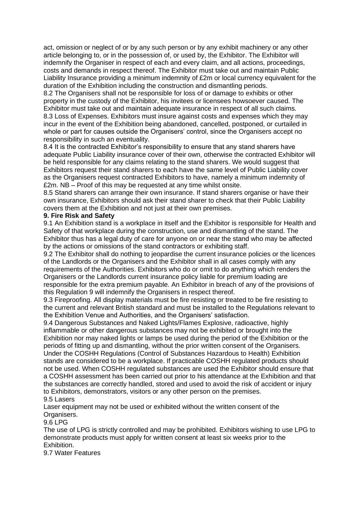act, omission or neglect of or by any such person or by any exhibit machinery or any other article belonging to, or in the possession of, or used by, the Exhibitor. The Exhibitor will indemnify the Organiser in respect of each and every claim, and all actions, proceedings, costs and demands in respect thereof. The Exhibitor must take out and maintain Public Liability Insurance providing a minimum indemnity of £2m or local currency equivalent for the duration of the Exhibition including the construction and dismantling periods.

8.2 The Organisers shall not be responsible for loss of or damage to exhibits or other property in the custody of the Exhibitor, his invitees or licensees howsoever caused. The Exhibitor must take out and maintain adequate insurance in respect of all such claims. 8.3 Loss of Expenses. Exhibitors must insure against costs and expenses which they may incur in the event of the Exhibition being abandoned, cancelled, postponed, or curtailed in whole or part for causes outside the Organisers' control, since the Organisers accept no responsibility in such an eventuality.

8.4 It is the contracted Exhibitor's responsibility to ensure that any stand sharers have adequate Public Liability insurance cover of their own, otherwise the contracted Exhibitor will be held responsible for any claims relating to the stand sharers. We would suggest that Exhibitors request their stand sharers to each have the same level of Public Liability cover as the Organisers request contracted Exhibitors to have, namely a minimum indemnity of £2m. NB – Proof of this may be requested at any time whilst onsite.

8.5 Stand sharers can arrange their own insurance. If stand sharers organise or have their own insurance, Exhibitors should ask their stand sharer to check that their Public Liability covers them at the Exhibition and not just at their own premises.

### **9. Fire Risk and Safety**

9.1 An Exhibition stand is a workplace in itself and the Exhibitor is responsible for Health and Safety of that workplace during the construction, use and dismantling of the stand. The Exhibitor thus has a legal duty of care for anyone on or near the stand who may be affected by the actions or omissions of the stand contractors or exhibiting staff.

9.2 The Exhibitor shall do nothing to jeopardise the current insurance policies or the licences of the Landlords or the Organisers and the Exhibitor shall in all cases comply with any requirements of the Authorities. Exhibitors who do or omit to do anything which renders the Organisers or the Landlords current insurance policy liable for premium loading are responsible for the extra premium payable. An Exhibitor in breach of any of the provisions of this Regulation 9 will indemnify the Organisers in respect thereof.

9.3 Fireproofing. All display materials must be fire resisting or treated to be fire resisting to the current and relevant British standard and must be installed to the Regulations relevant to the Exhibition Venue and Authorities, and the Organisers' satisfaction.

9.4 Dangerous Substances and Naked Lights/Flames Explosive, radioactive, highly inflammable or other dangerous substances may not be exhibited or brought into the Exhibition nor may naked lights or lamps be used during the period of the Exhibition or the periods of fitting up and dismantling, without the prior written consent of the Organisers. Under the COSHH Regulations (Control of Substances Hazardous to Health) Exhibition stands are considered to be a workplace. If practicable COSHH regulated products should not be used. When COSHH regulated substances are used the Exhibitor should ensure that a COSHH assessment has been carried out prior to his attendance at the Exhibition and that the substances are correctly handled, stored and used to avoid the risk of accident or injury to Exhibitors, demonstrators, visitors or any other person on the premises. 9.5 Lasers

Laser equipment may not be used or exhibited without the written consent of the Organisers.

9.6 LPG

The use of LPG is strictly controlled and may be prohibited. Exhibitors wishing to use LPG to demonstrate products must apply for written consent at least six weeks prior to the **Exhibition** 

9.7 Water Features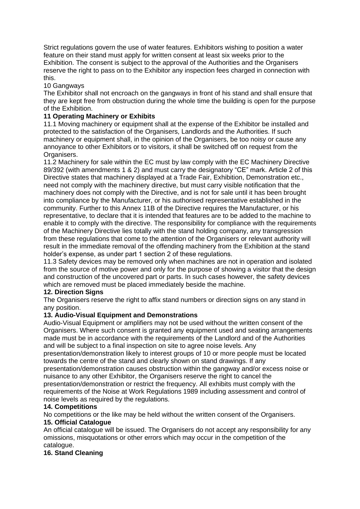Strict regulations govern the use of water features. Exhibitors wishing to position a water feature on their stand must apply for written consent at least six weeks prior to the Exhibition. The consent is subject to the approval of the Authorities and the Organisers reserve the right to pass on to the Exhibitor any inspection fees charged in connection with this.

## 10 Gangways

The Exhibitor shall not encroach on the gangways in front of his stand and shall ensure that they are kept free from obstruction during the whole time the building is open for the purpose of the Exhibition.

## **11 Operating Machinery or Exhibits**

11.1 Moving machinery or equipment shall at the expense of the Exhibitor be installed and protected to the satisfaction of the Organisers, Landlords and the Authorities. If such machinery or equipment shall, in the opinion of the Organisers, be too noisy or cause any annoyance to other Exhibitors or to visitors, it shall be switched off on request from the Organisers.

11.2 Machinery for sale within the EC must by law comply with the EC Machinery Directive 89/392 (with amendments 1 & 2) and must carry the designatory "CE" mark. Article 2 of this Directive states that machinery displayed at a Trade Fair, Exhibition, Demonstration etc., need not comply with the machinery directive, but must carry visible notification that the machinery does not comply with the Directive, and is not for sale until it has been brought into compliance by the Manufacturer, or his authorised representative established in the community. Further to this Annex 11B of the Directive requires the Manufacturer, or his representative, to declare that it is intended that features are to be added to the machine to enable it to comply with the directive. The responsibility for compliance with the requirements of the Machinery Directive lies totally with the stand holding company, any transgression from these regulations that come to the attention of the Organisers or relevant authority will result in the immediate removal of the offending machinery from the Exhibition at the stand holder's expense, as under part 1 section 2 of these regulations.

11.3 Safety devices may be removed only when machines are not in operation and isolated from the source of motive power and only for the purpose of showing a visitor that the design and construction of the uncovered part or parts. In such cases however, the safety devices which are removed must be placed immediately beside the machine.

### **12. Direction Signs**

The Organisers reserve the right to affix stand numbers or direction signs on any stand in any position.

### **13. Audio-Visual Equipment and Demonstrations**

Audio-Visual Equipment or amplifiers may not be used without the written consent of the Organisers. Where such consent is granted any equipment used and seating arrangements made must be in accordance with the requirements of the Landlord and of the Authorities and will be subject to a final inspection on site to agree noise levels. Any

presentation/demonstration likely to interest groups of 10 or more people must be located towards the centre of the stand and clearly shown on stand drawings. If any presentation/demonstration causes obstruction within the gangway and/or excess noise or nuisance to any other Exhibitor, the Organisers reserve the right to cancel the presentation/demonstration or restrict the frequency. All exhibits must comply with the requirements of the Noise at Work Regulations 1989 including assessment and control of noise levels as required by the regulations.

### **14. Competitions**

No competitions or the like may be held without the written consent of the Organisers.

### **15. Official Catalogue**

An official catalogue will be issued. The Organisers do not accept any responsibility for any omissions, misquotations or other errors which may occur in the competition of the catalogue.

# **16. Stand Cleaning**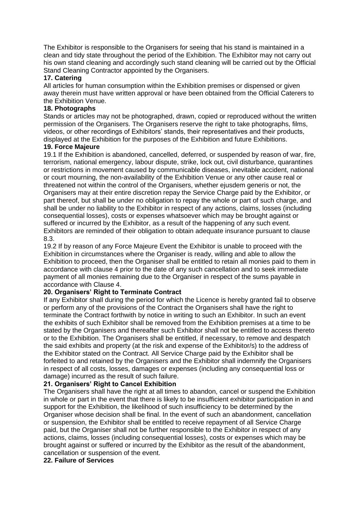The Exhibitor is responsible to the Organisers for seeing that his stand is maintained in a clean and tidy state throughout the period of the Exhibition. The Exhibitor may not carry out his own stand cleaning and accordingly such stand cleaning will be carried out by the Official Stand Cleaning Contractor appointed by the Organisers.

#### **17. Catering**

All articles for human consumption within the Exhibition premises or dispensed or given away therein must have written approval or have been obtained from the Official Caterers to the Exhibition Venue.

### **18. Photographs**

Stands or articles may not be photographed, drawn, copied or reproduced without the written permission of the Organisers. The Organisers reserve the right to take photographs, films, videos, or other recordings of Exhibitors' stands, their representatives and their products, displayed at the Exhibition for the purposes of the Exhibition and future Exhibitions.

#### **19. Force Majeure**

19.1 If the Exhibition is abandoned, cancelled, deferred, or suspended by reason of war, fire, terrorism, national emergency, labour dispute, strike, lock out, civil disturbance, quarantines or restrictions in movement caused by communicable diseases, inevitable accident, national or court mourning, the non-availability of the Exhibition Venue or any other cause real or threatened not within the control of the Organisers, whether ejusdem generis or not, the Organisers may at their entire discretion repay the Service Charge paid by the Exhibitor, or part thereof, but shall be under no obligation to repay the whole or part of such charge, and shall be under no liability to the Exhibitor in respect of any actions, claims, losses (including consequential losses), costs or expenses whatsoever which may be brought against or suffered or incurred by the Exhibitor, as a result of the happening of any such event. Exhibitors are reminded of their obligation to obtain adequate insurance pursuant to clause 8.3.

19.2 If by reason of any Force Majeure Event the Exhibitor is unable to proceed with the Exhibition in circumstances where the Organiser is ready, willing and able to allow the Exhibition to proceed, then the Organiser shall be entitled to retain all monies paid to them in accordance with clause 4 prior to the date of any such cancellation and to seek immediate payment of all monies remaining due to the Organiser in respect of the sums payable in accordance with Clause 4.

### **20. Organisers' Right to Terminate Contract**

If any Exhibitor shall during the period for which the Licence is hereby granted fail to observe or perform any of the provisions of the Contract the Organisers shall have the right to terminate the Contract forthwith by notice in writing to such an Exhibitor. In such an event the exhibits of such Exhibitor shall be removed from the Exhibition premises at a time to be stated by the Organisers and thereafter such Exhibitor shall not be entitled to access thereto or to the Exhibition. The Organisers shall be entitled, if necessary, to remove and despatch the said exhibits and property (at the risk and expense of the Exhibitor/s) to the address of the Exhibitor stated on the Contract. All Service Charge paid by the Exhibitor shall be forfeited to and retained by the Organisers and the Exhibitor shall indemnify the Organisers in respect of all costs, losses, damages or expenses (including any consequential loss or damage) incurred as the result of such failure.

### **21. Organisers' Right to Cancel Exhibition**

The Organisers shall have the right at all times to abandon, cancel or suspend the Exhibition in whole or part in the event that there is likely to be insufficient exhibitor participation in and support for the Exhibition, the likelihood of such insufficiency to be determined by the Organiser whose decision shall be final. In the event of such an abandonment, cancellation or suspension, the Exhibitor shall be entitled to receive repayment of all Service Charge paid, but the Organiser shall not be further responsible to the Exhibitor in respect of any actions, claims, losses (including consequential losses), costs or expenses which may be brought against or suffered or incurred by the Exhibitor as the result of the abandonment, cancellation or suspension of the event.

#### **22. Failure of Services**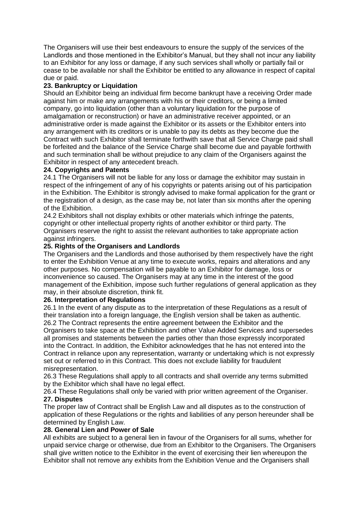The Organisers will use their best endeavours to ensure the supply of the services of the Landlords and those mentioned in the Exhibitor's Manual, but they shall not incur any liability to an Exhibitor for any loss or damage, if any such services shall wholly or partially fail or cease to be available nor shall the Exhibitor be entitled to any allowance in respect of capital due or paid.

## **23. Bankruptcy or Liquidation**

Should an Exhibitor being an individual firm become bankrupt have a receiving Order made against him or make any arrangements with his or their creditors, or being a limited company, go into liquidation (other than a voluntary liquidation for the purpose of amalgamation or reconstruction) or have an administrative receiver appointed, or an administrative order is made against the Exhibitor or its assets or the Exhibitor enters into any arrangement with its creditors or is unable to pay its debts as they become due the Contract with such Exhibitor shall terminate forthwith save that all Service Charge paid shall be forfeited and the balance of the Service Charge shall become due and payable forthwith and such termination shall be without prejudice to any claim of the Organisers against the Exhibitor in respect of any antecedent breach.

### **24. Copyrights and Patents**

24.1 The Organisers will not be liable for any loss or damage the exhibitor may sustain in respect of the infringement of any of his copyrights or patents arising out of his participation in the Exhibition. The Exhibitor is strongly advised to make formal application for the grant or the registration of a design, as the case may be, not later than six months after the opening of the Exhibition.

24.2 Exhibitors shall not display exhibits or other materials which infringe the patents, copyright or other intellectual property rights of another exhibitor or third party. The Organisers reserve the right to assist the relevant authorities to take appropriate action against infringers.

## **25. Rights of the Organisers and Landlords**

The Organisers and the Landlords and those authorised by them respectively have the right to enter the Exhibition Venue at any time to execute works, repairs and alterations and any other purposes. No compensation will be payable to an Exhibitor for damage, loss or inconvenience so caused. The Organisers may at any time in the interest of the good management of the Exhibition, impose such further regulations of general application as they may, in their absolute discretion, think fit.

### **26. Interpretation of Regulations**

26.1 In the event of any dispute as to the interpretation of these Regulations as a result of their translation into a foreign language, the English version shall be taken as authentic. 26.2 The Contract represents the entire agreement between the Exhibitor and the Organisers to take space at the Exhibition and other Value Added Services and supersedes all promises and statements between the parties other than those expressly incorporated into the Contract. In addition, the Exhibitor acknowledges that he has not entered into the Contract in reliance upon any representation, warranty or undertaking which is not expressly set out or referred to in this Contract. This does not exclude liability for fraudulent misrepresentation.

26.3 These Regulations shall apply to all contracts and shall override any terms submitted by the Exhibitor which shall have no legal effect.

26.4 These Regulations shall only be varied with prior written agreement of the Organiser. **27. Disputes**

The proper law of Contract shall be English Law and all disputes as to the construction of application of these Regulations or the rights and liabilities of any person hereunder shall be determined by English Law.

### **28. General Lien and Power of Sale**

All exhibits are subject to a general lien in favour of the Organisers for all sums, whether for unpaid service charge or otherwise, due from an Exhibitor to the Organisers. The Organisers shall give written notice to the Exhibitor in the event of exercising their lien whereupon the Exhibitor shall not remove any exhibits from the Exhibition Venue and the Organisers shall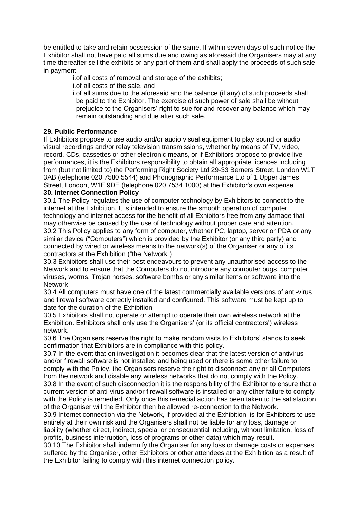be entitled to take and retain possession of the same. If within seven days of such notice the Exhibitor shall not have paid all sums due and owing as aforesaid the Organisers may at any time thereafter sell the exhibits or any part of them and shall apply the proceeds of such sale in payment:

i.of all costs of removal and storage of the exhibits;

i.of all costs of the sale, and

i.of all sums due to the aforesaid and the balance (if any) of such proceeds shall be paid to the Exhibitor. The exercise of such power of sale shall be without prejudice to the Organisers' right to sue for and recover any balance which may remain outstanding and due after such sale.

# **29. Public Performance**

If Exhibitors propose to use audio and/or audio visual equipment to play sound or audio visual recordings and/or relay television transmissions, whether by means of TV, video, record, CDs, cassettes or other electronic means, or if Exhibitors propose to provide live performances, it is the Exhibitors responsibility to obtain all appropriate licences including from (but not limited to) the Performing Right Society Ltd 29-33 Berners Street, London W1T 3AB (telephone 020 7580 5544) and Phonographic Performance Ltd of 1 Upper James Street, London, W1F 9DE (telephone 020 7534 1000) at the Exhibitor's own expense.

# **30. Internet Connection Policy**

30.1 The Policy regulates the use of computer technology by Exhibitors to connect to the internet at the Exhibition. It is intended to ensure the smooth operation of computer technology and internet access for the benefit of all Exhibitors free from any damage that may otherwise be caused by the use of technology without proper care and attention. 30.2 This Policy applies to any form of computer, whether PC, laptop, server or PDA or any similar device ("Computers") which is provided by the Exhibitor (or any third party) and connected by wired or wireless means to the network(s) of the Organiser or any of its contractors at the Exhibition ("the Network").

30.3 Exhibitors shall use their best endeavours to prevent any unauthorised access to the Network and to ensure that the Computers do not introduce any computer bugs, computer viruses, worms, Trojan horses, software bombs or any similar items or software into the Network.

30.4 All computers must have one of the latest commercially available versions of anti-virus and firewall software correctly installed and configured. This software must be kept up to date for the duration of the Exhibition.

30.5 Exhibitors shall not operate or attempt to operate their own wireless network at the Exhibition. Exhibitors shall only use the Organisers' (or its official contractors') wireless network.

30.6 The Organisers reserve the right to make random visits to Exhibitors' stands to seek confirmation that Exhibitors are in compliance with this policy.

30.7 In the event that on investigation it becomes clear that the latest version of antivirus and/or firewall software is not installed and being used or there is some other failure to comply with the Policy, the Organisers reserve the right to disconnect any or all Computers from the network and disable any wireless networks that do not comply with the Policy.

30.8 In the event of such disconnection it is the responsibility of the Exhibitor to ensure that a current version of anti-virus and/or firewall software is installed or any other failure to comply with the Policy is remedied. Only once this remedial action has been taken to the satisfaction of the Organiser will the Exhibitor then be allowed re-connection to the Network.

30.9 Internet connection via the Network, if provided at the Exhibition, is for Exhibitors to use entirely at their own risk and the Organisers shall not be liable for any loss, damage or

liability (whether direct, indirect, special or consequential including, without limitation, loss of profits, business interruption, loss of programs or other data) which may result.

30.10 The Exhibitor shall indemnify the Organiser for any loss or damage costs or expenses suffered by the Organiser, other Exhibitors or other attendees at the Exhibition as a result of the Exhibitor failing to comply with this internet connection policy.